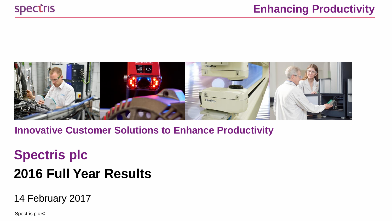

**Innovative Customer Solutions to Enhance Productivity**

# **Spectris plc 2016 Full Year Results**

14 February 2017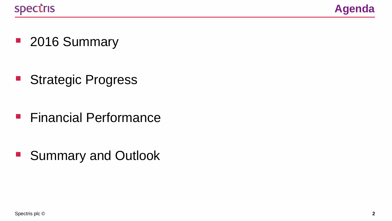

■ 2016 Summary

**Strategic Progress** 

**Financial Performance** 

■ Summary and Outlook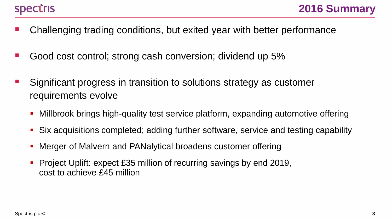- Challenging trading conditions, but exited year with better performance
- Good cost control; strong cash conversion; dividend up 5%
- Significant progress in transition to solutions strategy as customer requirements evolve
	- Millbrook brings high-quality test service platform, expanding automotive offering
	- Six acquisitions completed; adding further software, service and testing capability
	- Merger of Malvern and PANalytical broadens customer offering
	- Project Uplift: expect £35 million of recurring savings by end 2019, cost to achieve £45 million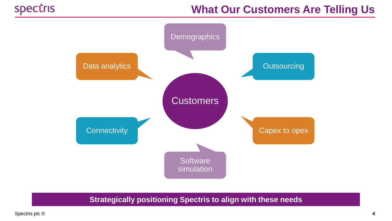# **What Our Customers Are Telling Us**



**Strategically positioning Spectris to align with these needs**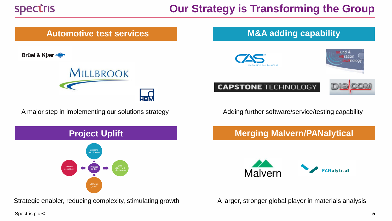# **Our Strategy is Transforming the Group**



Brüel & Kjær



A major step in implementing our solutions strategy example Adding further software/service/testing capability



**Merging Malvern/PANalytical**

**Project Uplift Project** Drive Drive Chicago Project Project Chicago Project Chicago Project Chicago Project Chicago Project Chicago Project Chicago Project Chicago Project Chicago Project Chicago Project Chicago Project Chicago Project **Project Uplift** our strategy Reduce complexity

Strategic enabler, reducing complexity, stimulating growth A larger, stronger global player in materials analysis

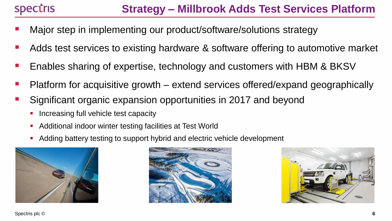- Major step in implementing our product/software/solutions strategy
- Adds test services to existing hardware & software offering to automotive market
- Enables sharing of expertise, technology and customers with HBM & BKSV
- Platform for acquisitive growth extend services offered/expand geographically
- Significant organic expansion opportunities in 2017 and beyond
	- Increasing full vehicle test capacity
	- **Additional indoor winter testing facilities at Test World**
	- Adding battery testing to support hybrid and electric vehicle development





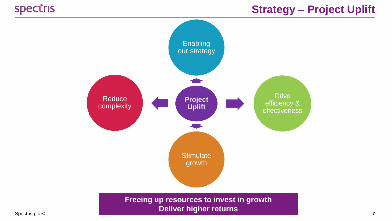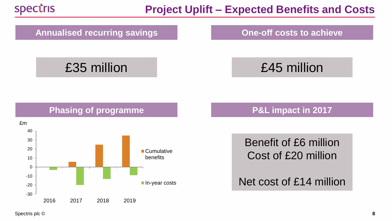

## **Project Uplift – Expected Benefits and Costs**

#### Annualised recurring savings **Annualised recurring savings Cone-off costs to achieve**

# £35 million £45 million

### **Phasing of programme P&L impact in 2017**



Benefit of £6 million Cost of £20 million

Net cost of £14 million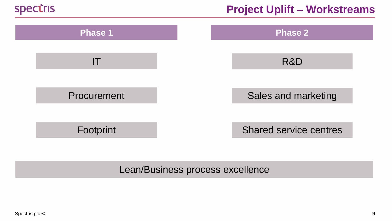



#### Lean/Business process excellence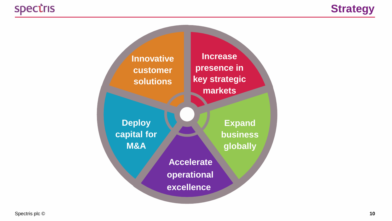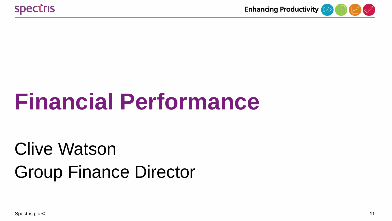

# **Financial Performance**

# Clive Watson Group Finance Director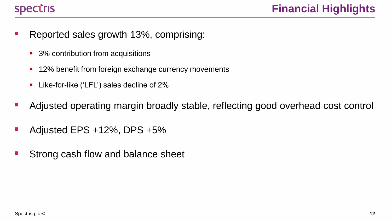- Reported sales growth 13%, comprising:
	- 3% contribution from acquisitions
	- **12% benefit from foreign exchange currency movements**
	- **Like-for-like ('LFL') sales decline of 2%**
- Adjusted operating margin broadly stable, reflecting good overhead cost control
- Adjusted EPS +12%, DPS +5%
- Strong cash flow and balance sheet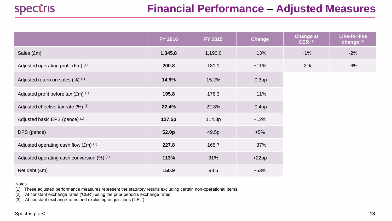|                                                  | FY 2016 | FY 2015 | Change    | <b>Change at</b><br>CER <sup>(2)</sup> | Like-for-like<br>change <sup>(3)</sup> |
|--------------------------------------------------|---------|---------|-----------|----------------------------------------|----------------------------------------|
| Sales (£m)                                       | 1,345.8 | 1,190.0 | $+13%$    | $+1%$                                  | $-2%$                                  |
| Adjusted operating profit (£m) (1)               | 200.8   | 181.1   | $+11%$    | $-2%$                                  | $-6%$                                  |
| Adjusted return on sales (%) (1)                 | 14.9%   | 15.2%   | $-0.3$ pp |                                        |                                        |
| Adjusted profit before tax $(Em)$ <sup>(1)</sup> | 195.8   | 176.3   | $+11%$    |                                        |                                        |
| Adjusted effective tax rate (%) (1)              | 22.4%   | 22.8%   | $-0.4$ pp |                                        |                                        |
| Adjusted basic EPS (pence) (1)                   | 127.5p  | 114.3p  | $+12%$    |                                        |                                        |
| DPS (pence)                                      | 52.0p   | 49.5p   | $+5%$     |                                        |                                        |
| Adjusted operating cash flow (£m) (1)            | 227.8   | 165.7   | $+37%$    |                                        |                                        |
| Adjusted operating cash conversion (%) (1)       | 113%    | 91%     | $+22pp$   |                                        |                                        |
| Net debt (£m)                                    | 150.9   | 98.6    | $+53%$    |                                        |                                        |

Notes

(1) These adjusted performance measures represent the statutory results excluding certain non-operational items.

(2) At constant exchange rates ('CER') using the prior period's exchange rates.

(3) At constant exchange rates and excluding acquisitions ('LFL').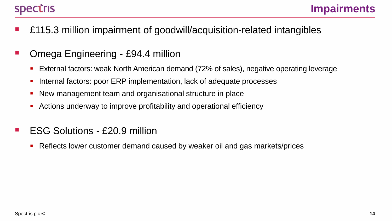- £115.3 million impairment of goodwill/acquisition-related intangibles
- Omega Engineering £94.4 million
	- External factors: weak North American demand (72% of sales), negative operating leverage
	- Internal factors: poor ERP implementation, lack of adequate processes
	- New management team and organisational structure in place
	- Actions underway to improve profitability and operational efficiency
- ESG Solutions £20.9 million
	- Reflects lower customer demand caused by weaker oil and gas markets/prices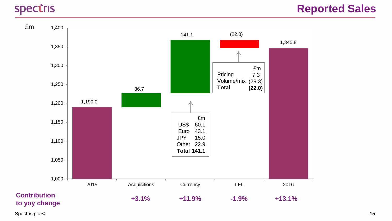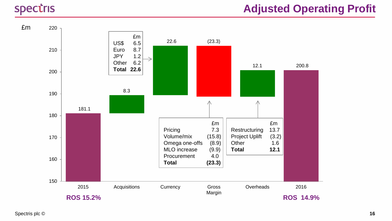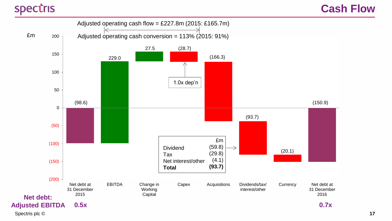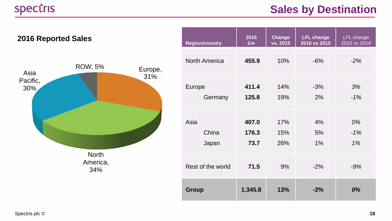# **Sales by Destination**



| <b>Region/country</b> | 2016    | <b>Change</b> | <b>LFL change</b> | <b>LFL</b> change |
|-----------------------|---------|---------------|-------------------|-------------------|
|                       | £m      | vs. 2015      | 2016 vs 2015      | 2015 vs 2014      |
| <b>North America</b>  | 455.9   | 10%           | $-6%$             | $-2%$             |
| Europe                | 411.4   | 14%           | $-3%$             | 3%                |
| Germany               | 125.8   | 19%           | 2%                | $-1%$             |
| Asia                  | 407.0   | 17%           | 4%                | 0%                |
| China                 | 176.3   | 15%           | 5%                | $-1%$             |
| Japan                 | 73.7    | 26%           | 1%                | 1%                |
| Rest of the world     | 71.5    | 9%            | $-2%$             | $-9%$             |
| <b>Group</b>          | 1,345.8 | 13%           | $-2%$             | 0%                |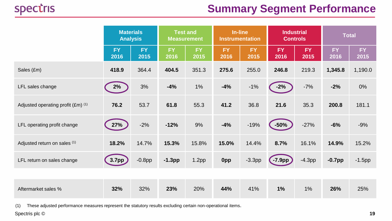# **Summary Segment Performance**

|                                    | <b>Materials</b>  | <b>Analysis</b>   | <b>Test and</b><br><b>Measurement</b> |                   | In-line<br><b>Industrial</b><br><b>Controls</b><br><b>Instrumentation</b> |             | <b>Total</b>      |                   |                   |                   |
|------------------------------------|-------------------|-------------------|---------------------------------------|-------------------|---------------------------------------------------------------------------|-------------|-------------------|-------------------|-------------------|-------------------|
|                                    | <b>FY</b><br>2016 | <b>FY</b><br>2015 | <b>FY</b><br>2016                     | <b>FY</b><br>2015 | <b>FY</b><br>2016                                                         | FY.<br>2015 | <b>FY</b><br>2016 | <b>FY</b><br>2015 | <b>FY</b><br>2016 | <b>FY</b><br>2015 |
| Sales (£m)                         | 418.9             | 364.4             | 404.5                                 | 351.3             | 275.6                                                                     | 255.0       | 246.8             | 219.3             | 1,345.8           | 1,190.0           |
| LFL sales change                   | 2%                | 3%                | $-4%$                                 | 1%                | $-4%$                                                                     | $-1%$       | $-2%$             | $-7%$             | $-2%$             | 0%                |
| Adjusted operating profit (£m) (1) | 76.2              | 53.7              | 61.8                                  | 55.3              | 41.2                                                                      | 36.8        | 21.6              | 35.3              | 200.8             | 181.1             |
| LFL operating profit change        | 27%               | $-2%$             | $-12%$                                | 9%                | $-4%$                                                                     | $-19%$      | $-50%$            | $-27%$            | $-6%$             | $-9%$             |
| Adjusted return on sales (1)       | 18.2%             | 14.7%             | 15.3%                                 | 15.8%             | 15.0%                                                                     | 14.4%       | 8.7%              | 16.1%             | 14.9%             | 15.2%             |
| LFL return on sales change         | 3.7 <sub>pp</sub> | $-0.8$ pp         | $-1.3pp$                              | 1.2 <sub>pp</sub> | 0pp                                                                       | $-3.3pp$    | $\sqrt{-7.9}$ pp  | $-4.3pp$          | $-0.7$ pp         | $-1.5$ pp         |
|                                    |                   |                   |                                       |                   |                                                                           |             |                   |                   |                   |                   |
| Aftermarket sales %                | 32%               | 32%               | 23%                                   | 20%               | 44%                                                                       | 41%         | 1%                | 1%                | 26%               | 25%               |

(1) These adjusted performance measures represent the statutory results excluding certain non-operational items.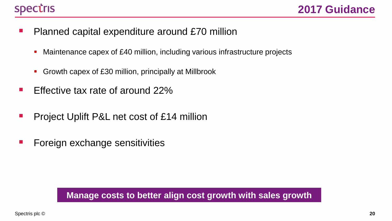

- **Planned capital expenditure around £70 million** 
	- Maintenance capex of £40 million, including various infrastructure projects
	- Growth capex of £30 million, principally at Millbrook
- **Effective tax rate of around 22%**
- **Project Uplift P&L net cost of £14 million**
- **Foreign exchange sensitivities**

#### **Manage costs to better align cost growth with sales growth**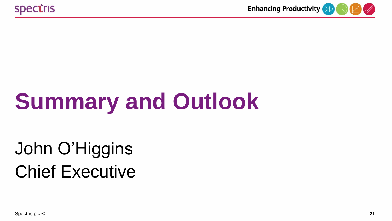

# **Summary and Outlook**

# John O'Higgins Chief Executive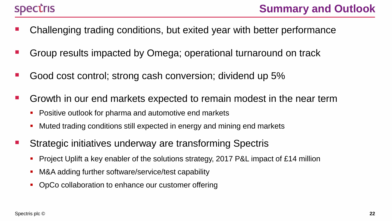- Challenging trading conditions, but exited year with better performance
- Group results impacted by Omega; operational turnaround on track
- Good cost control; strong cash conversion; dividend up 5%
- Growth in our end markets expected to remain modest in the near term
	- **Positive outlook for pharma and automotive end markets**
	- **Muted trading conditions still expected in energy and mining end markets**
- Strategic initiatives underway are transforming Spectris
	- **Project Uplift a key enabler of the solutions strategy, 2017 P&L impact of £14 million**
	- **M&A adding further software/service/test capability**
	- OpCo collaboration to enhance our customer offering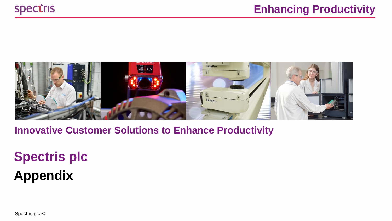

**Innovative Customer Solutions to Enhance Productivity**

# **Spectris plc Appendix**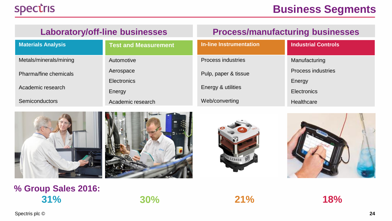### **Laboratory/off-line businesses Process/manufacturing businesses**

| <b>Materials Analysis</b> | <b>Test and Measurement</b> | <b>In-line Instrumentation</b> | <b>Industrial Controls</b> |
|---------------------------|-----------------------------|--------------------------------|----------------------------|
| Metals/minerals/mining    | Automotive                  | Process industries             | Manufacturing              |
| Pharma/fine chemicals     | Aerospace                   | Pulp, paper & tissue           | Process industries         |
|                           | Electronics                 |                                | Energy                     |
| Academic research         | Energy                      | Energy & utilities             | Electronics                |
| <b>Semiconductors</b>     | Academic research           | Web/converting                 | Healthcare                 |









### **% Group Sales 2016: 31% 30% 21% 18%**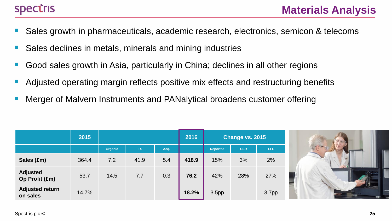- Sales growth in pharmaceuticals, academic research, electronics, semicon & telecoms
- Sales declines in metals, minerals and mining industries
- Good sales growth in Asia, particularly in China; declines in all other regions
- Adjusted operating margin reflects positive mix effects and restructuring benefits
- Merger of Malvern Instruments and PANalytical broadens customer offering

|                                    | 2015  |         |           |      | 2016  |                   | Change vs. 2015 |                   |
|------------------------------------|-------|---------|-----------|------|-------|-------------------|-----------------|-------------------|
|                                    |       | Organic | <b>FX</b> | Acq. |       | <b>Reported</b>   | <b>CER</b>      | LFL               |
| Sales (£m)                         | 364.4 | 7.2     | 41.9      | 5.4  | 418.9 | 15%               | 3%              | 2%                |
| <b>Adjusted</b><br>Op Profit (£m)  | 53.7  | 14.5    | 7.7       | 0.3  | 76.2  | 42%               | 28%             | 27%               |
| <b>Adjusted return</b><br>on sales | 14.7% |         |           |      | 18.2% | 3.5 <sub>pp</sub> |                 | 3.7 <sub>pp</sub> |

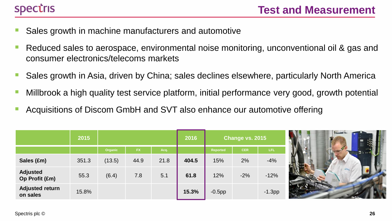

- Sales growth in machine manufacturers and automotive
- Reduced sales to aerospace, environmental noise monitoring, unconventional oil & gas and consumer electronics/telecoms markets
- Sales growth in Asia, driven by China; sales declines elsewhere, particularly North America
- Millbrook a high quality test service platform, initial performance very good, growth potential
- Acquisitions of Discom GmbH and SVT also enhance our automotive offering

|                                    | 2015  |         |           |      | 2016  |                 | Change vs. 2015 |          |
|------------------------------------|-------|---------|-----------|------|-------|-----------------|-----------------|----------|
|                                    |       | Organic | <b>FX</b> | Acq. |       | <b>Reported</b> | <b>CER</b>      | LFL      |
| Sales (£m)                         | 351.3 | (13.5)  | 44.9      | 21.8 | 404.5 | 15%             | 2%              | $-4%$    |
| <b>Adjusted</b><br>Op Profit (£m)  | 55.3  | (6.4)   | 7.8       | 5.1  | 61.8  | 12%             | $-2%$           | $-12%$   |
| <b>Adjusted return</b><br>on sales | 15.8% |         |           |      | 15.3% | $-0.5$ pp       |                 | $-1.3pp$ |

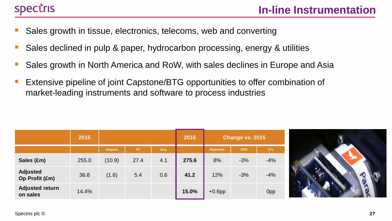# **Spectris**

- Sales growth in tissue, electronics, telecoms, web and converting
- Sales declined in pulp & paper, hydrocarbon processing, energy & utilities
- Sales growth in North America and RoW, with sales declines in Europe and Asia
- Extensive pipeline of joint Capstone/BTG opportunities to offer combination of market-leading instruments and software to process industries

|                                    | 2015  |         |           |      | 2016  |                 | Change vs. 2015 |       |
|------------------------------------|-------|---------|-----------|------|-------|-----------------|-----------------|-------|
|                                    |       | Organic | <b>FX</b> | Acq. |       | <b>Reported</b> | <b>CER</b>      | LFL   |
| Sales (£m)                         | 255.0 | (10.9)  | 27.4      | 4.1  | 275.6 | 8%              | $-3%$           | $-4%$ |
| <b>Adjusted</b><br>Op Profit (£m)  | 36.8  | (1.6)   | 5.4       | 0.6  | 41.2  | 12%             | $-3%$           | $-4%$ |
| <b>Adjusted return</b><br>on sales | 14.4% |         |           |      | 15.0% | $+0.6$ pp       |                 | 0pp   |

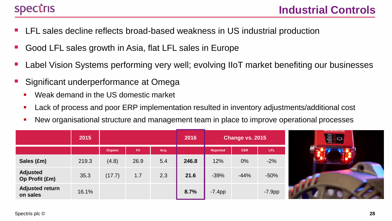# **Spectris**

- LFL sales decline reflects broad-based weakness in US industrial production
- Good LFL sales growth in Asia, flat LFL sales in Europe
- Label Vision Systems performing very well; evolving IIoT market benefiting our businesses
- Significant underperformance at Omega
	- Weak demand in the US domestic market
	- **Lack of process and poor ERP implementation resulted in inventory adjustments/additional cost**
	- New organisational structure and management team in place to improve operational processes

|                                    | 2015  |         |           | 2016 | Change vs. 2015 |                 |            |          |
|------------------------------------|-------|---------|-----------|------|-----------------|-----------------|------------|----------|
|                                    |       | Organic | <b>FX</b> | Acq. |                 | <b>Reported</b> | <b>CER</b> | LFL.     |
| Sales (£m)                         | 219.3 | (4.8)   | 26.9      | 5.4  | 246.8           | 12%             | 0%         | $-2%$    |
| <b>Adjusted</b><br>Op Profit (£m)  | 35.3  | (17.7)  | 1.7       | 2.3  | 21.6            | $-39%$          | $-44%$     | $-50%$   |
| <b>Adjusted return</b><br>on sales | 16.1% |         |           |      | 8.7%            | $-7.4pp$        |            | $-7.9pp$ |

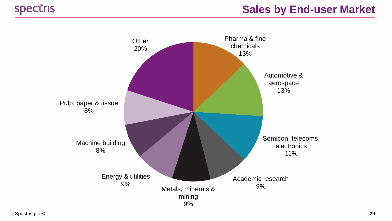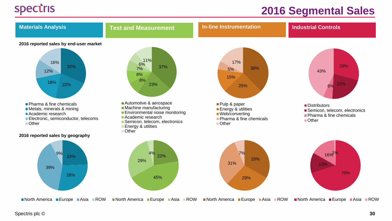## **2016 Segmental Sales**

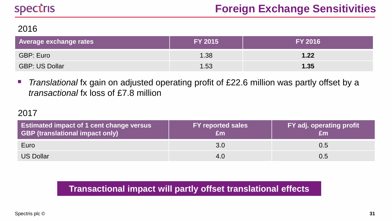#### 2016

| <b>Average exchange rates</b> | <b>FY 2015</b> | <b>FY 2016</b> |
|-------------------------------|----------------|----------------|
| GBP: Euro                     | 1.38           | 1.22           |
| <b>GBP: US Dollar</b>         | 1.53           | 1.35           |

**The Translational ix gain on adjusted operating profit of £22.6 million was partly offset by a** *transactional* fx loss of £7.8 million

#### 2017

| Estimated impact of 1 cent change versus<br><b>GBP (translational impact only)</b> | <b>FY reported sales</b><br>£m | FY adj. operating profit |
|------------------------------------------------------------------------------------|--------------------------------|--------------------------|
| Euro                                                                               | 3.0                            | 0.5                      |
| <b>US Dollar</b>                                                                   | 4.0                            | 0.5                      |

### **Transactional impact will partly offset translational effects**